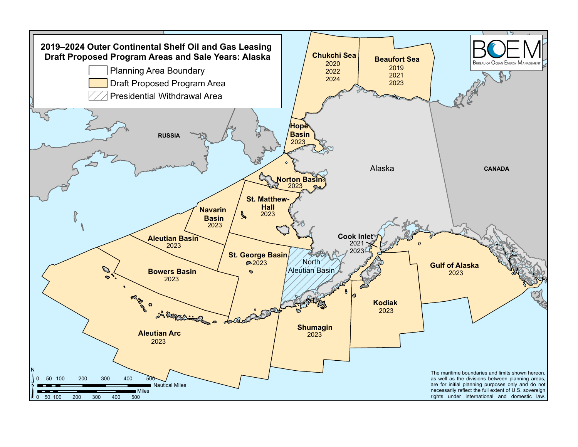